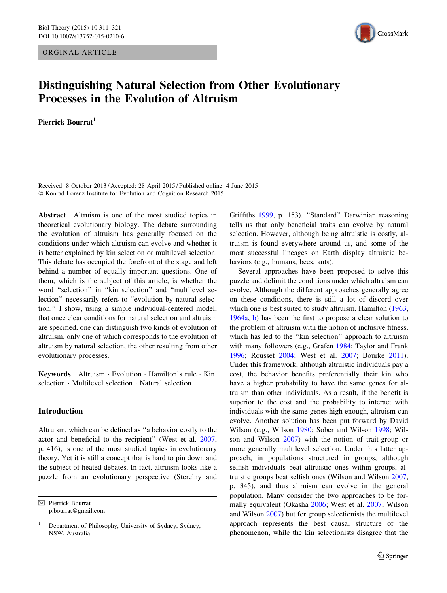ORGINAL ARTICLE



# Distinguishing Natural Selection from Other Evolutionary Processes in the Evolution of Altruism

Pierrick Bourrat<sup>1</sup>

Received: 8 October 2013 / Accepted: 28 April 2015 / Published online: 4 June 2015 - Konrad Lorenz Institute for Evolution and Cognition Research 2015

Abstract Altruism is one of the most studied topics in theoretical evolutionary biology. The debate surrounding the evolution of altruism has generally focused on the conditions under which altruism can evolve and whether it is better explained by kin selection or multilevel selection. This debate has occupied the forefront of the stage and left behind a number of equally important questions. One of them, which is the subject of this article, is whether the word ''selection'' in ''kin selection'' and ''multilevel selection'' necessarily refers to ''evolution by natural selection.'' I show, using a simple individual-centered model, that once clear conditions for natural selection and altruism are specified, one can distinguish two kinds of evolution of altruism, only one of which corresponds to the evolution of altruism by natural selection, the other resulting from other evolutionary processes.

Keywords Altruism - Evolution - Hamilton's rule - Kin selection - Multilevel selection - Natural selection

# Introduction

Altruism, which can be defined as ''a behavior costly to the actor and beneficial to the recipient'' (West et al. [2007,](#page-10-0) p. 416), is one of the most studied topics in evolutionary theory. Yet it is still a concept that is hard to pin down and the subject of heated debates. In fact, altruism looks like a puzzle from an evolutionary perspective (Sterelny and

 $\boxtimes$  Pierrick Bourrat p.bourrat@gmail.com Griffiths [1999](#page-10-0), p. 153). ''Standard'' Darwinian reasoning tells us that only beneficial traits can evolve by natural selection. However, although being altruistic is costly, altruism is found everywhere around us, and some of the most successful lineages on Earth display altruistic behaviors (e.g., humans, bees, ants).

Several approaches have been proposed to solve this puzzle and delimit the conditions under which altruism can evolve. Although the different approaches generally agree on these conditions, there is still a lot of discord over which one is best suited to study altruism. Hamilton ([1963,](#page-9-0) [1964a,](#page-9-0) [b\)](#page-9-0) has been the first to propose a clear solution to the problem of altruism with the notion of inclusive fitness, which has led to the "kin selection" approach to altruism with many followers (e.g., Grafen [1984;](#page-9-0) Taylor and Frank [1996](#page-10-0); Rousset [2004;](#page-10-0) West et al. [2007;](#page-10-0) Bourke [2011](#page-9-0)). Under this framework, although altruistic individuals pay a cost, the behavior benefits preferentially their kin who have a higher probability to have the same genes for altruism than other individuals. As a result, if the benefit is superior to the cost and the probability to interact with individuals with the same genes high enough, altruism can evolve. Another solution has been put forward by David Wilson (e.g., Wilson [1980](#page-10-0); Sober and Wilson [1998](#page-10-0); Wilson and Wilson [2007](#page-10-0)) with the notion of trait-group or more generally multilevel selection. Under this latter approach, in populations structured in groups, although selfish individuals beat altruistic ones within groups, altruistic groups beat selfish ones (Wilson and Wilson [2007,](#page-10-0) p. 345), and thus altruism can evolve in the general population. Many consider the two approaches to be formally equivalent (Okasha [2006;](#page-10-0) West et al. [2007](#page-10-0); Wilson and Wilson [2007\)](#page-10-0) but for group selectionists the multilevel approach represents the best causal structure of the phenomenon, while the kin selectionists disagree that the

<sup>1</sup> Department of Philosophy, University of Sydney, Sydney, NSW, Australia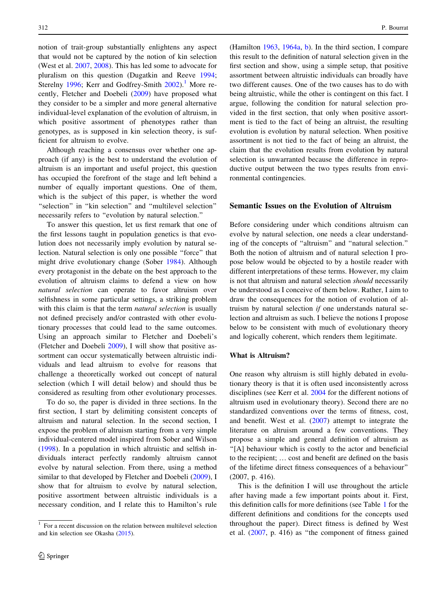notion of trait-group substantially enlightens any aspect that would not be captured by the notion of kin selection (West et al. [2007,](#page-10-0) [2008](#page-10-0)). This has led some to advocate for pluralism on this question (Dugatkin and Reeve [1994](#page-9-0); Sterelny [1996](#page-10-0); Kerr and Godfrey-Smith  $2002$ ).<sup>1</sup> More recently, Fletcher and Doebeli ([2009\)](#page-9-0) have proposed what they consider to be a simpler and more general alternative individual-level explanation of the evolution of altruism, in which positive assortment of phenotypes rather than genotypes, as is supposed in kin selection theory, is sufficient for altruism to evolve.

Although reaching a consensus over whether one approach (if any) is the best to understand the evolution of altruism is an important and useful project, this question has occupied the forefront of the stage and left behind a number of equally important questions. One of them, which is the subject of this paper, is whether the word "selection" in "kin selection" and "multilevel selection" necessarily refers to ''evolution by natural selection.''

To answer this question, let us first remark that one of the first lessons taught in population genetics is that evolution does not necessarily imply evolution by natural selection. Natural selection is only one possible ''force'' that might drive evolutionary change (Sober [1984](#page-10-0)). Although every protagonist in the debate on the best approach to the evolution of altruism claims to defend a view on how natural selection can operate to favor altruism over selfishness in some particular settings, a striking problem with this claim is that the term *natural selection* is usually not defined precisely and/or contrasted with other evolutionary processes that could lead to the same outcomes. Using an approach similar to Fletcher and Doebeli's (Fletcher and Doebeli [2009\)](#page-9-0), I will show that positive assortment can occur systematically between altruistic individuals and lead altruism to evolve for reasons that challenge a theoretically worked out concept of natural selection (which I will detail below) and should thus be considered as resulting from other evolutionary processes.

To do so, the paper is divided in three sections. In the first section, I start by delimiting consistent concepts of altruism and natural selection. In the second section, I expose the problem of altruism starting from a very simple individual-centered model inspired from Sober and Wilson [\(1998](#page-10-0)). In a population in which altruistic and selfish individuals interact perfectly randomly altruism cannot evolve by natural selection. From there, using a method similar to that developed by Fletcher and Doebeli [\(2009](#page-9-0)), I show that for altruism to evolve by natural selection, positive assortment between altruistic individuals is a necessary condition, and I relate this to Hamilton's rule (Hamilton [1963](#page-9-0), [1964a,](#page-9-0) [b](#page-9-0)). In the third section, I compare this result to the definition of natural selection given in the first section and show, using a simple setup, that positive assortment between altruistic individuals can broadly have two different causes. One of the two causes has to do with being altruistic, while the other is contingent on this fact. I argue, following the condition for natural selection provided in the first section, that only when positive assortment is tied to the fact of being an altruist, the resulting evolution is evolution by natural selection. When positive assortment is not tied to the fact of being an altruist, the claim that the evolution results from evolution by natural selection is unwarranted because the difference in reproductive output between the two types results from environmental contingencies.

## Semantic Issues on the Evolution of Altruism

Before considering under which conditions altruism can evolve by natural selection, one needs a clear understanding of the concepts of ''altruism'' and ''natural selection.'' Both the notion of altruism and of natural selection I propose below would be objected to by a hostile reader with different interpretations of these terms. However, my claim is not that altruism and natural selection should necessarily be understood as I conceive of them below. Rather, I aim to draw the consequences for the notion of evolution of altruism by natural selection if one understands natural selection and altruism as such. I believe the notions I propose below to be consistent with much of evolutionary theory and logically coherent, which renders them legitimate.

#### What is Altruism?

One reason why altruism is still highly debated in evolutionary theory is that it is often used inconsistently across disciplines (see Kerr et al. [2004](#page-9-0) for the different notions of altruism used in evolutionary theory). Second there are no standardized conventions over the terms of fitness, cost, and benefit. West et al. ([2007\)](#page-10-0) attempt to integrate the literature on altruism around a few conventions. They propose a simple and general definition of altruism as "[A] behaviour which is costly to the actor and beneficial to the recipient; … cost and benefit are defined on the basis of the lifetime direct fitness consequences of a behaviour'' (2007, p. 416).

This is the definition I will use throughout the article after having made a few important points about it. First, this definition calls for more definitions (see Table [1](#page-2-0) for the different definitions and conditions for the concepts used throughout the paper). Direct fitness is defined by West et al. [\(2007](#page-10-0), p. 416) as ''the component of fitness gained

<sup>&</sup>lt;sup>1</sup> For a recent discussion on the relation between multilevel selection and kin selection see Okasha ([2015\)](#page-10-0).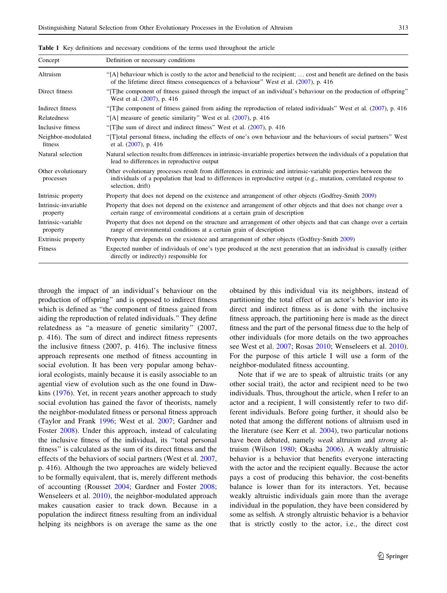<span id="page-2-0"></span>

| <b>Table 1</b> Key definitions and necessary conditions of the terms used throughout the article |                                    |  |
|--------------------------------------------------------------------------------------------------|------------------------------------|--|
| Concept                                                                                          | Definition or necessary conditions |  |
|                                                                                                  |                                    |  |

| Altruism                         | "[A] behaviour which is costly to the actor and beneficial to the recipient;  cost and benefit are defined on the basis<br>of the lifetime direct fitness consequences of a behaviour" West et al. (2007), p. 416                                           |
|----------------------------------|-------------------------------------------------------------------------------------------------------------------------------------------------------------------------------------------------------------------------------------------------------------|
| Direct fitness                   | "[T]he component of fitness gained through the impact of an individual's behaviour on the production of offspring"<br>West et al. (2007), p. 416                                                                                                            |
| Indirect fitness                 | "[T]he component of fitness gained from aiding the reproduction of related individuals" West et al. (2007), p. 416                                                                                                                                          |
| Relatedness                      | "[A] measure of genetic similarity" West et al. $(2007)$ , p. 416                                                                                                                                                                                           |
| Inclusive fitness                | "[T] he sum of direct and indirect fitness" West et al. (2007), p. 416                                                                                                                                                                                      |
| Neighbor-modulated<br>fitness    | "[T] otal personal fitness, including the effects of one's own behaviour and the behaviours of social partners" West<br>et al. $(2007)$ , p. 416                                                                                                            |
| Natural selection                | Natural selection results from differences in intrinsic-invariable properties between the individuals of a population that<br>lead to differences in reproductive output                                                                                    |
| Other evolutionary<br>processes  | Other evolutionary processes result from differences in extrinsic and intrinsic-variable properties between the<br>individuals of a population that lead to differences in reproductive output (e.g., mutation, correlated response to<br>selection, drift) |
| Intrinsic property               | Property that does not depend on the existence and arrangement of other objects (Godfrey-Smith 2009)                                                                                                                                                        |
| Intrinsic-invariable<br>property | Property that does not depend on the existence and arrangement of other objects and that does not change over a<br>certain range of environmental conditions at a certain grain of description                                                              |
| Intrinsic-variable<br>property   | Property that does not depend on the structure and arrangement of other objects and that can change over a certain<br>range of environmental conditions at a certain grain of description                                                                   |
| Extrinsic property               | Property that depends on the existence and arrangement of other objects (Godfrey-Smith 2009)                                                                                                                                                                |
| Fitness                          | Expected number of individuals of one's type produced at the next generation that an individual is causally (either<br>directly or indirectly) responsible for                                                                                              |

through the impact of an individual's behaviour on the production of offspring'' and is opposed to indirect fitness which is defined as ''the component of fitness gained from aiding the reproduction of related individuals.'' They define relatedness as ''a measure of genetic similarity'' (2007, p. 416). The sum of direct and indirect fitness represents the inclusive fitness (2007, p. 416). The inclusive fitness approach represents one method of fitness accounting in social evolution. It has been very popular among behavioral ecologists, mainly because it is easily associable to an agential view of evolution such as the one found in Dawkins ([1976\)](#page-9-0). Yet, in recent years another approach to study social evolution has gained the favor of theorists, namely the neighbor-modulated fitness or personal fitness approach (Taylor and Frank [1996](#page-10-0); West et al. [2007](#page-10-0); Gardner and Foster [2008\)](#page-9-0). Under this approach, instead of calculating the inclusive fitness of the individual, its ''total personal fitness'' is calculated as the sum of its direct fitness and the effects of the behaviors of social partners (West et al. [2007,](#page-10-0) p. 416). Although the two approaches are widely believed to be formally equivalent, that is, merely different methods of accounting (Rousset [2004](#page-10-0); Gardner and Foster [2008](#page-9-0); Wenseleers et al. [2010\)](#page-10-0), the neighbor-modulated approach makes causation easier to track down. Because in a population the indirect fitness resulting from an individual helping its neighbors is on average the same as the one obtained by this individual via its neighbors, instead of partitioning the total effect of an actor's behavior into its direct and indirect fitness as is done with the inclusive fitness approach, the partitioning here is made as the direct fitness and the part of the personal fitness due to the help of other individuals (for more details on the two approaches see West et al. [2007](#page-10-0); Rosas [2010;](#page-10-0) Wenseleers et al. [2010](#page-10-0)). For the purpose of this article I will use a form of the neighbor-modulated fitness accounting.

Note that if we are to speak of altruistic traits (or any other social trait), the actor and recipient need to be two individuals. Thus, throughout the article, when I refer to an actor and a recipient, I will consistently refer to two different individuals. Before going further, it should also be noted that among the different notions of altruism used in the literature (see Kerr et al. [2004\)](#page-9-0), two particular notions have been debated, namely weak altruism and strong altruism (Wilson [1980;](#page-10-0) Okasha [2006](#page-10-0)). A weakly altruistic behavior is a behavior that benefits everyone interacting with the actor and the recipient equally. Because the actor pays a cost of producing this behavior, the cost-benefits balance is lower than for its interactors. Yet, because weakly altruistic individuals gain more than the average individual in the population, they have been considered by some as selfish. A strongly altruistic behavior is a behavior that is strictly costly to the actor, i.e., the direct cost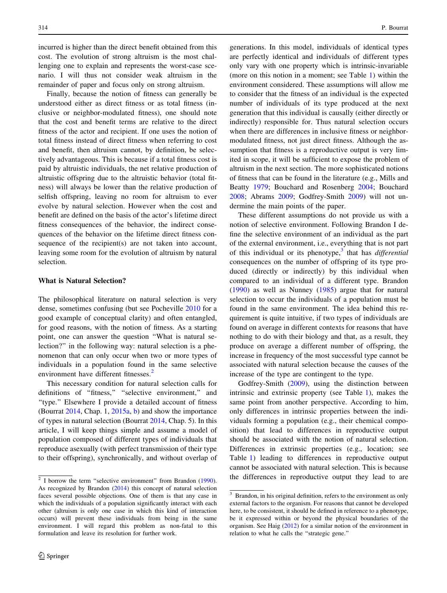incurred is higher than the direct benefit obtained from this cost. The evolution of strong altruism is the most challenging one to explain and represents the worst-case scenario. I will thus not consider weak altruism in the remainder of paper and focus only on strong altruism.

Finally, because the notion of fitness can generally be understood either as direct fitness or as total fitness (inclusive or neighbor-modulated fitness), one should note that the cost and benefit terms are relative to the direct fitness of the actor and recipient. If one uses the notion of total fitness instead of direct fitness when referring to cost and benefit, then altruism cannot, by definition, be selectively advantageous. This is because if a total fitness cost is paid by altruistic individuals, the net relative production of altruistic offspring due to the altruistic behavior (total fitness) will always be lower than the relative production of selfish offspring, leaving no room for altruism to ever evolve by natural selection. However when the cost and benefit are defined on the basis of the actor's lifetime direct fitness consequences of the behavior, the indirect consequences of the behavior on the lifetime direct fitness consequence of the recipient(s) are not taken into account, leaving some room for the evolution of altruism by natural selection.

## What is Natural Selection?

The philosophical literature on natural selection is very dense, sometimes confusing (but see Pocheville [2010](#page-10-0) for a good example of conceptual clarity) and often entangled, for good reasons, with the notion of fitness. As a starting point, one can answer the question ''What is natural selection?'' in the following way: natural selection is a phenomenon that can only occur when two or more types of individuals in a population found in the same selective environment have different fitnesses.<sup>2</sup>

This necessary condition for natural selection calls for definitions of ''fitness,'' ''selective environment,'' and ''type.'' Elsewhere I provide a detailed account of fitness (Bourrat [2014](#page-9-0), Chap. 1, [2015a,](#page-9-0) [b\)](#page-9-0) and show the importance of types in natural selection (Bourrat [2014,](#page-9-0) Chap. 5). In this article, I will keep things simple and assume a model of population composed of different types of individuals that reproduce asexually (with perfect transmission of their type to their offspring), synchronically, and without overlap of generations. In this model, individuals of identical types are perfectly identical and individuals of different types only vary with one property which is intrinsic-invariable (more on this notion in a moment; see Table [1\)](#page-2-0) within the environment considered. These assumptions will allow me to consider that the fitness of an individual is the expected number of individuals of its type produced at the next generation that this individual is causally (either directly or indirectly) responsible for. Thus natural selection occurs when there are differences in inclusive fitness or neighbormodulated fitness, not just direct fitness. Although the assumption that fitness is a reproductive output is very limited in scope, it will be sufficient to expose the problem of altruism in the next section. The more sophisticated notions of fitness that can be found in the literature (e.g., Mills and Beatty [1979;](#page-9-0) Bouchard and Rosenberg [2004](#page-9-0); Bouchard [2008](#page-9-0); Abrams [2009;](#page-9-0) Godfrey-Smith [2009](#page-9-0)) will not undermine the main points of the paper.

These different assumptions do not provide us with a notion of selective environment. Following Brandon I define the selective environment of an individual as the part of the external environment, i.e., everything that is not part of this individual or its phenotype, $3$  that has *differential* consequences on the number of offspring of its type produced (directly or indirectly) by this individual when compared to an individual of a different type. Brandon [\(1990](#page-9-0)) as well as Nunney [\(1985](#page-9-0)) argue that for natural selection to occur the individuals of a population must be found in the same environment. The idea behind this requirement is quite intuitive, if two types of individuals are found on average in different contexts for reasons that have nothing to do with their biology and that, as a result, they produce on average a different number of offspring, the increase in frequency of the most successful type cannot be associated with natural selection because the causes of the increase of the type are contingent to the type.

Godfrey-Smith ([2009\)](#page-9-0), using the distinction between intrinsic and extrinsic property (see Table [1\)](#page-2-0), makes the same point from another perspective. According to him, only differences in intrinsic properties between the individuals forming a population (e.g., their chemical composition) that lead to differences in reproductive output should be associated with the notion of natural selection. Differences in extrinsic properties (e.g., location; see Table [1](#page-2-0)) leading to differences in reproductive output cannot be associated with natural selection. This is because

 $\frac{1}{2}$  I borrow the term "selective environment" from Brandon [\(1990](#page-9-0)). the differences in reproductive output they lead to are As recognized by Brandon [\(2014](#page-9-0)) this concept of natural selection faces several possible objections. One of them is that any case in which the individuals of a population significantly interact with each other (altruism is only one case in which this kind of interaction occurs) will prevent these individuals from being in the same environment. I will regard this problem as non-fatal to this formulation and leave its resolution for further work.

<sup>&</sup>lt;sup>3</sup> Brandon, in his original definition, refers to the environment as only external factors to the organism. For reasons that cannot be developed here, to be consistent, it should be defined in reference to a phenotype, be it expressed within or beyond the physical boundaries of the organism. See Haig ([2012\)](#page-9-0) for a similar notion of the environment in relation to what he calls the ''strategic gene.''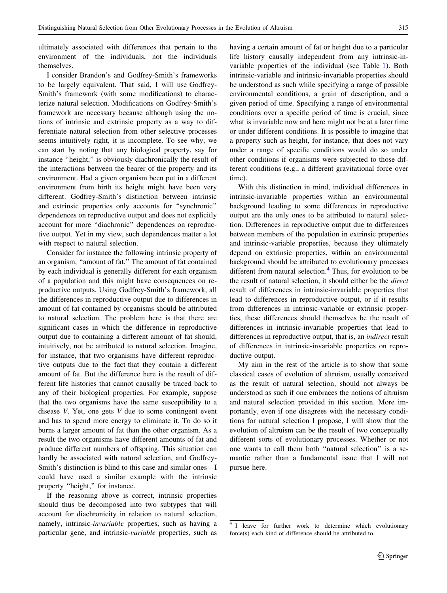ultimately associated with differences that pertain to the environment of the individuals, not the individuals themselves.

I consider Brandon's and Godfrey-Smith's frameworks to be largely equivalent. That said, I will use Godfrey-Smith's framework (with some modifications) to characterize natural selection. Modifications on Godfrey-Smith's framework are necessary because although using the notions of intrinsic and extrinsic property as a way to differentiate natural selection from other selective processes seems intuitively right, it is incomplete. To see why, we can start by noting that any biological property, say for instance ''height,'' is obviously diachronically the result of the interactions between the bearer of the property and its environment. Had a given organism been put in a different environment from birth its height might have been very different. Godfrey-Smith's distinction between intrinsic and extrinsic properties only accounts for ''synchronic'' dependences on reproductive output and does not explicitly account for more ''diachronic'' dependences on reproductive output. Yet in my view, such dependences matter a lot with respect to natural selection.

Consider for instance the following intrinsic property of an organism, ''amount of fat.'' The amount of fat contained by each individual is generally different for each organism of a population and this might have consequences on reproductive outputs. Using Godfrey-Smith's framework, all the differences in reproductive output due to differences in amount of fat contained by organisms should be attributed to natural selection. The problem here is that there are significant cases in which the difference in reproductive output due to containing a different amount of fat should, intuitively, not be attributed to natural selection. Imagine, for instance, that two organisms have different reproductive outputs due to the fact that they contain a different amount of fat. But the difference here is the result of different life histories that cannot causally be traced back to any of their biological properties. For example, suppose that the two organisms have the same susceptibility to a disease V. Yet, one gets V due to some contingent event and has to spend more energy to eliminate it. To do so it burns a larger amount of fat than the other organism. As a result the two organisms have different amounts of fat and produce different numbers of offspring. This situation can hardly be associated with natural selection, and Godfrey-Smith's distinction is blind to this case and similar ones—I could have used a similar example with the intrinsic property "height," for instance.

If the reasoning above is correct, intrinsic properties should thus be decomposed into two subtypes that will account for diachronicity in relation to natural selection, namely, intrinsic-invariable properties, such as having a particular gene, and intrinsic-variable properties, such as having a certain amount of fat or height due to a particular life history causally independent from any intrinsic-invariable properties of the individual (see Table [1](#page-2-0)). Both intrinsic-variable and intrinsic-invariable properties should be understood as such while specifying a range of possible environmental conditions, a grain of description, and a given period of time. Specifying a range of environmental conditions over a specific period of time is crucial, since what is invariable now and here might not be at a later time or under different conditions. It is possible to imagine that a property such as height, for instance, that does not vary under a range of specific conditions would do so under other conditions if organisms were subjected to those different conditions (e.g., a different gravitational force over time).

With this distinction in mind, individual differences in intrinsic-invariable properties within an environmental background leading to some differences in reproductive output are the only ones to be attributed to natural selection. Differences in reproductive output due to differences between members of the population in extrinsic properties and intrinsic-variable properties, because they ultimately depend on extrinsic properties, within an environmental background should be attributed to evolutionary processes different from natural selection. $4$  Thus, for evolution to be the result of natural selection, it should either be the direct result of differences in intrinsic-invariable properties that lead to differences in reproductive output, or if it results from differences in intrinsic-variable or extrinsic properties, these differences should themselves be the result of differences in intrinsic-invariable properties that lead to differences in reproductive output, that is, an indirect result of differences in intrinsic-invariable properties on reproductive output.

My aim in the rest of the article is to show that some classical cases of evolution of altruism, usually conceived as the result of natural selection, should not always be understood as such if one embraces the notions of altruism and natural selection provided in this section. More importantly, even if one disagrees with the necessary conditions for natural selection I propose, I will show that the evolution of altruism can be the result of two conceptually different sorts of evolutionary processes. Whether or not one wants to call them both ''natural selection'' is a semantic rather than a fundamental issue that I will not pursue here.

<sup>&</sup>lt;sup>4</sup> I leave for further work to determine which evolutionary force(s) each kind of difference should be attributed to.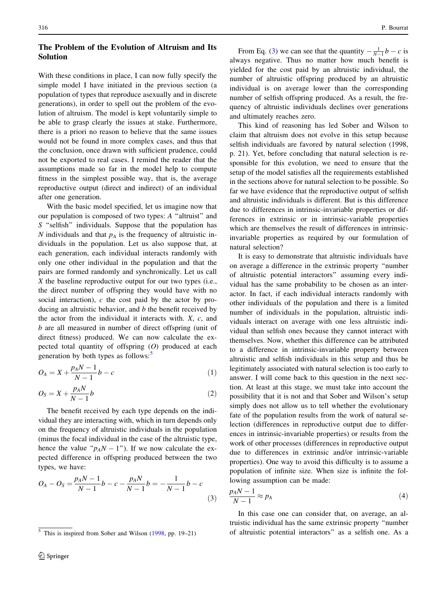# The Problem of the Evolution of Altruism and Its Solution

With these conditions in place, I can now fully specify the simple model I have initiated in the previous section (a population of types that reproduce asexually and in discrete generations), in order to spell out the problem of the evolution of altruism. The model is kept voluntarily simple to be able to grasp clearly the issues at stake. Furthermore, there is a priori no reason to believe that the same issues would not be found in more complex cases, and thus that the conclusion, once drawn with sufficient prudence, could not be exported to real cases. I remind the reader that the assumptions made so far in the model help to compute fitness in the simplest possible way, that is, the average reproductive output (direct and indirect) of an individual after one generation.

With the basic model specified, let us imagine now that our population is composed of two types: A ''altruist'' and S ''selfish'' individuals. Suppose that the population has N individuals and that  $p_A$  is the frequency of altruistic individuals in the population. Let us also suppose that, at each generation, each individual interacts randomly with only one other individual in the population and that the pairs are formed randomly and synchronically. Let us call X the baseline reproductive output for our two types (i.e., the direct number of offspring they would have with no social interaction), c the cost paid by the actor by producing an altruistic behavior, and  $b$  the benefit received by the actor from the individual it interacts with.  $X$ ,  $c$ , and b are all measured in number of direct offspring (unit of direct fitness) produced. We can now calculate the expected total quantity of offspring  $(O)$  produced at each generation by both types as follows:<sup>5</sup>

$$
O_A = X + \frac{p_A N - 1}{N - 1}b - c
$$
 (1)

$$
O_S = X + \frac{p_A N}{N - 1} b \tag{2}
$$

The benefit received by each type depends on the individual they are interacting with, which in turn depends only on the frequency of altruistic individuals in the population (minus the focal individual in the case of the altruistic type, hence the value " $p_A N - 1$ "). If we now calculate the expected difference in offspring produced between the two types, we have:

$$
O_A - O_S = \frac{p_A N - 1}{N - 1}b - c - \frac{p_A N}{N - 1}b = -\frac{1}{N - 1}b - c
$$
\n(3)

From Eq. (3) we can see that the quantity  $-\frac{1}{N-1}b - c$  is always negative. Thus no matter how much benefit is yielded for the cost paid by an altruistic individual, the number of altruistic offspring produced by an altruistic individual is on average lower than the corresponding number of selfish offspring produced. As a result, the frequency of altruistic individuals declines over generations and ultimately reaches zero.

This kind of reasoning has led Sober and Wilson to claim that altruism does not evolve in this setup because selfish individuals are favored by natural selection (1998, p. 21). Yet, before concluding that natural selection is responsible for this evolution, we need to ensure that the setup of the model satisfies all the requirements established in the sections above for natural selection to be possible. So far we have evidence that the reproductive output of selfish and altruistic individuals is different. But is this difference due to differences in intrinsic-invariable properties or differences in extrinsic or in intrinsic-variable properties which are themselves the result of differences in intrinsicinvariable properties as required by our formulation of natural selection?

It is easy to demonstrate that altruistic individuals have on average a difference in the extrinsic property ''number of altruistic potential interactors'' assuming every individual has the same probability to be chosen as an interactor. In fact, if each individual interacts randomly with other individuals of the population and there is a limited number of individuals in the population, altruistic individuals interact on average with one less altruistic individual than selfish ones because they cannot interact with themselves. Now, whether this difference can be attributed to a difference in intrinsic-invariable property between altruistic and selfish individuals in this setup and thus be legitimately associated with natural selection is too early to answer. I will come back to this question in the next section. At least at this stage, we must take into account the possibility that it is not and that Sober and Wilson's setup simply does not allow us to tell whether the evolutionary fate of the population results from the work of natural selection (differences in reproductive output due to differences in intrinsic-invariable properties) or results from the work of other processes (differences in reproductive output due to differences in extrinsic and/or intrinsic-variable properties). One way to avoid this difficulty is to assume a population of infinite size. When size is infinite the following assumption can be made:

$$
\frac{p_A N - 1}{N - 1} \approx p_A \tag{4}
$$

In this case one can consider that, on average, an altruistic individual has the same extrinsic property ''number <sup>5</sup> This is inspired from Sober and Wilson [\(1998](#page-10-0), pp. 19–21) of altruistic potential interactors" as a selfish one. As a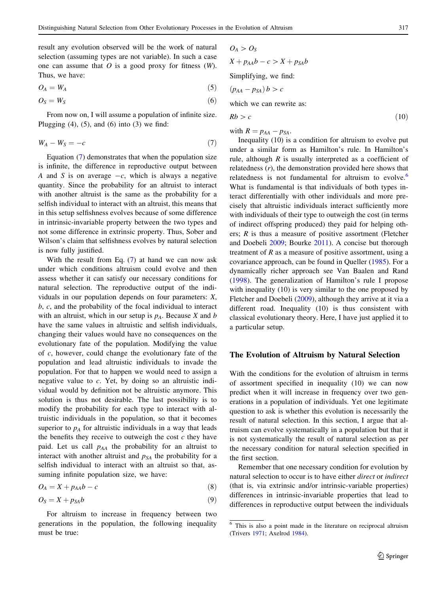result any evolution observed will be the work of natural selection (assuming types are not variable). In such a case one can assume that  $O$  is a good proxy for fitness  $(W)$ . Thus, we have:

$$
O_A = W_A \tag{5}
$$

$$
O_S = W_S \tag{6}
$$

From now on, I will assume a population of infinite size. Plugging  $(4)$ ,  $(5)$ , and  $(6)$  into  $(3)$  we find:

$$
W_A - W_S = -c \tag{7}
$$

Equation (7) demonstrates that when the population size is infinite, the difference in reproductive output between A and S is on average  $-c$ , which is always a negative quantity. Since the probability for an altruist to interact with another altruist is the same as the probability for a selfish individual to interact with an altruist, this means that in this setup selfishness evolves because of some difference in intrinsic-invariable property between the two types and not some difference in extrinsic property. Thus, Sober and Wilson's claim that selfishness evolves by natural selection is now fully justified.

With the result from Eq.  $(7)$  at hand we can now ask under which conditions altruism could evolve and then assess whether it can satisfy our necessary conditions for natural selection. The reproductive output of the individuals in our population depends on four parameters: X, b, c, and the probability of the focal individual to interact with an altruist, which in our setup is  $p_A$ . Because X and b have the same values in altruistic and selfish individuals, changing their values would have no consequences on the evolutionary fate of the population. Modifying the value of  $c$ , however, could change the evolutionary fate of the population and lead altruistic individuals to invade the population. For that to happen we would need to assign a negative value to c. Yet, by doing so an altruistic individual would by definition not be altruistic anymore. This solution is thus not desirable. The last possibility is to modify the probability for each type to interact with altruistic individuals in the population, so that it becomes superior to  $p_A$  for altruistic individuals in a way that leads the benefits they receive to outweigh the cost  $c$  they have paid. Let us call  $p_{AA}$  the probability for an altruist to interact with another altruist and  $p_{SA}$  the probability for a selfish individual to interact with an altruist so that, assuming infinite population size, we have:

$$
O_A = X + p_{AA}b - c \tag{8}
$$

$$
O_S = X + p_{SA}b \tag{9}
$$

For altruism to increase in frequency between two generations in the population, the following inequality must be true:

$$
O_A > O_S
$$
  

$$
X + p_{AA}b - c > X + p_{SA}b
$$
  
Simplifying, we find:  

$$
(p_{AA} - p_{SA})b > c
$$

which we can rewrite as:

$$
Rb > c \tag{10}
$$

with  $R = p_{AA} - p_{SA}$ .

Inequality (10) is a condition for altruism to evolve put under a similar form as Hamilton's rule. In Hamilton's rule, although  $R$  is usually interpreted as a coefficient of relatedness  $(r)$ , the demonstration provided here shows that relatedness is not fundamental for altruism to evolve.<sup>6</sup> What is fundamental is that individuals of both types interact differentially with other individuals and more precisely that altruistic individuals interact sufficiently more with individuals of their type to outweigh the cost (in terms of indirect offspring produced) they paid for helping others;  $R$  is thus a measure of positive assortment (Fletcher and Doebeli [2009](#page-9-0); Bourke [2011](#page-9-0)). A concise but thorough treatment of  $R$  as a measure of positive assortment, using a covariance approach, can be found in Queller ([1985\)](#page-10-0). For a dynamically richer approach see Van Baalen and Rand [\(1998](#page-10-0)). The generalization of Hamilton's rule I propose with inequality (10) is very similar to the one proposed by Fletcher and Doebeli ([2009\)](#page-9-0), although they arrive at it via a different road. Inequality (10) is thus consistent with classical evolutionary theory. Here, I have just applied it to a particular setup.

## The Evolution of Altruism by Natural Selection

With the conditions for the evolution of altruism in terms of assortment specified in inequality (10) we can now predict when it will increase in frequency over two generations in a population of individuals. Yet one legitimate question to ask is whether this evolution is necessarily the result of natural selection. In this section, I argue that altruism can evolve systematically in a population but that it is not systematically the result of natural selection as per the necessary condition for natural selection specified in the first section.

Remember that one necessary condition for evolution by natural selection to occur is to have either direct or indirect (that is, via extrinsic and/or intrinsic-variable properties) differences in intrinsic-invariable properties that lead to differences in reproductive output between the individuals

<sup>6</sup> This is also a point made in the literature on reciprocal altruism (Trivers [1971](#page-10-0); Axelrod [1984](#page-9-0)).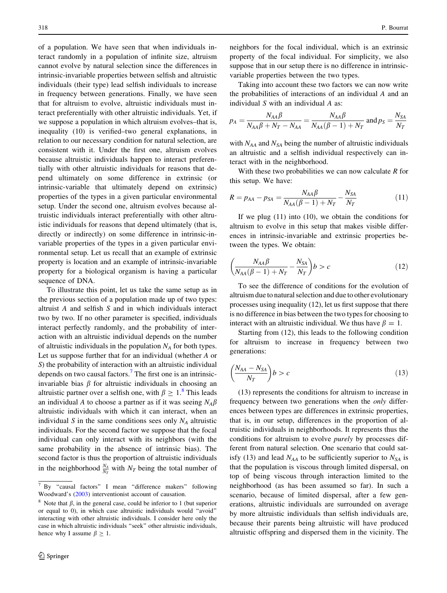of a population. We have seen that when individuals interact randomly in a population of infinite size, altruism cannot evolve by natural selection since the differences in intrinsic-invariable properties between selfish and altruistic individuals (their type) lead selfish individuals to increase in frequency between generations. Finally, we have seen that for altruism to evolve, altruistic individuals must interact preferentially with other altruistic individuals. Yet, if we suppose a population in which altruism evolves–that is, inequality (10) is verified–two general explanations, in relation to our necessary condition for natural selection, are consistent with it. Under the first one, altruism evolves because altruistic individuals happen to interact preferentially with other altruistic individuals for reasons that depend ultimately on some difference in extrinsic (or intrinsic-variable that ultimately depend on extrinsic) properties of the types in a given particular environmental setup. Under the second one, altruism evolves because altruistic individuals interact preferentially with other altruistic individuals for reasons that depend ultimately (that is, directly or indirectly) on some difference in intrinsic-invariable properties of the types in a given particular environmental setup. Let us recall that an example of extrinsic property is location and an example of intrinsic-invariable property for a biological organism is having a particular sequence of DNA.

To illustrate this point, let us take the same setup as in the previous section of a population made up of two types: altruist A and selfish S and in which individuals interact two by two. If no other parameter is specified, individuals interact perfectly randomly, and the probability of interaction with an altruistic individual depends on the number of altruistic individuals in the population  $N_A$  for both types. Let us suppose further that for an individual (whether A or S) the probability of interaction with an altruistic individual depends on two causal factors.<sup>7</sup> The first one is an intrinsicinvariable bias  $\beta$  for altruistic individuals in choosing an altruistic partner over a selfish one, with  $\beta \geq 1.8$  This leads an individual A to choose a partner as if it was seeing  $N_A\beta$ altruistic individuals with which it can interact, when an individual S in the same conditions sees only  $N_A$  altruistic individuals. For the second factor we suppose that the focal individual can only interact with its neighbors (with the same probability in the absence of intrinsic bias). The second factor is thus the proportion of altruistic individuals in the neighborhood  $\frac{N_A}{N_T}$  with  $N_T$  being the total number of

neighbors for the focal individual, which is an extrinsic property of the focal individual. For simplicity, we also suppose that in our setup there is no difference in intrinsicvariable properties between the two types.

Taking into account these two factors we can now write the probabilities of interactions of an individual A and an individual S with an individual A as:

$$
p_A = \frac{N_{AA}\beta}{N_{AA}\beta + N_T - N_{AA}} = \frac{N_{AA}\beta}{N_{AA}(\beta - 1) + N_T}
$$
 and  $p_S = \frac{N_{SA}}{N_T}$ 

with  $N_{AA}$  and  $N_{SA}$  being the number of altruistic individuals an altruistic and a selfish individual respectively can interact with in the neighborhood.

With these two probabilities we can now calculate  $R$  for this setup. We have:

$$
R = p_{AA} - p_{SA} = \frac{N_{AA}\beta}{N_{AA}(\beta - 1) + N_T} - \frac{N_{SA}}{N_T}
$$
(11)

If we plug  $(11)$  into  $(10)$ , we obtain the conditions for altruism to evolve in this setup that makes visible differences in intrinsic-invariable and extrinsic properties between the types. We obtain:

$$
\left(\frac{N_{AA}\beta}{N_{AA}(\beta-1)+N_T}-\frac{N_{SA}}{N_T}\right)b > c
$$
\n(12)

To see the difference of conditions for the evolution of altruism due to natural selection and due to other evolutionary processes using inequality (12), let us first suppose that there is no difference in bias between the two types for choosing to interact with an altruistic individual. We thus have  $\beta = 1$ .

Starting from (12), this leads to the following condition for altruism to increase in frequency between two generations:

$$
\left(\frac{N_{AA} - N_{SA}}{N_T}\right)b > c\tag{13}
$$

(13) represents the conditions for altruism to increase in frequency between two generations when the only differences between types are differences in extrinsic properties, that is, in our setup, differences in the proportion of altruistic individuals in neighborhoods. It represents thus the conditions for altruism to evolve purely by processes different from natural selection. One scenario that could satisfy (13) and lead  $N_{AA}$  to be sufficiently superior to  $N_{SA}$  is that the population is viscous through limited dispersal, on top of being viscous through interaction limited to the neighborhood (as has been assumed so far). In such a scenario, because of limited dispersal, after a few generations, altruistic individuals are surrounded on average by more altruistic individuals than selfish individuals are, because their parents being altruistic will have produced altruistic offspring and dispersed them in the vicinity. The

 $\frac{7}{7}$  By "causal factors" I mean "difference makers" following Woodward's [\(2003](#page-10-0)) interventionist account of causation.

<sup>&</sup>lt;sup>8</sup> Note that  $\beta$ , in the general case, could be inferior to 1 (but superior or equal to 0), in which case altruistic individuals would ''avoid'' interacting with other altruistic individuals. I consider here only the case in which altruistic individuals ''seek'' other altruistic individuals, hence why I assume  $\beta > 1$ .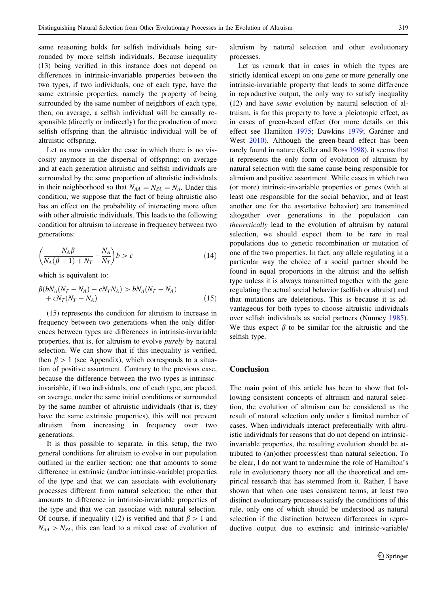same reasoning holds for selfish individuals being surrounded by more selfish individuals. Because inequality (13) being verified in this instance does not depend on differences in intrinsic-invariable properties between the two types, if two individuals, one of each type, have the same extrinsic properties, namely the property of being surrounded by the same number of neighbors of each type, then, on average, a selfish individual will be causally responsible (directly or indirectly) for the production of more selfish offspring than the altruistic individual will be of altruistic offspring.

Let us now consider the case in which there is no viscosity anymore in the dispersal of offspring: on average and at each generation altruistic and selfish individuals are surrounded by the same proportion of altruistic individuals in their neighborhood so that  $N_{AA} = N_{SA} = N_A$ . Under this condition, we suppose that the fact of being altruistic also has an effect on the probability of interacting more often with other altruistic individuals. This leads to the following condition for altruism to increase in frequency between two generations:

$$
\left(\frac{N_A\beta}{N_A(\beta-1)+N_T}-\frac{N_A}{N_T}\right)b > c\tag{14}
$$

which is equivalent to:

$$
\beta(bN_A(N_T - N_A) - cN_T N_A) > bN_A(N_T - N_A) \\
+ cN_T(N_T - N_A) \tag{15}
$$

(15) represents the condition for altruism to increase in frequency between two generations when the only differences between types are differences in intrinsic-invariable properties, that is, for altruism to evolve purely by natural selection. We can show that if this inequality is verified, then  $\beta > 1$  (see Appendix), which corresponds to a situation of positive assortment. Contrary to the previous case, because the difference between the two types is intrinsicinvariable, if two individuals, one of each type, are placed, on average, under the same initial conditions or surrounded by the same number of altruistic individuals (that is, they have the same extrinsic properties), this will not prevent altruism from increasing in frequency over two generations.

It is thus possible to separate, in this setup, the two general conditions for altruism to evolve in our population outlined in the earlier section: one that amounts to some difference in extrinsic (and/or intrinsic-variable) properties of the type and that we can associate with evolutionary processes different from natural selection; the other that amounts to difference in intrinsic-invariable properties of the type and that we can associate with natural selection. Of course, if inequality (12) is verified and that  $\beta > 1$  and  $N_{AA} > N_{SA}$ , this can lead to a mixed case of evolution of altruism by natural selection and other evolutionary processes.

Let us remark that in cases in which the types are strictly identical except on one gene or more generally one intrinsic-invariable property that leads to some difference in reproductive output, the only way to satisfy inequality (12) and have some evolution by natural selection of altruism, is for this property to have a pleiotropic effect, as in cases of green-beard effect (for more details on this effect see Hamilton [1975](#page-9-0); Dawkins [1979;](#page-9-0) Gardner and West [2010](#page-9-0)). Although the green-beard effect has been rarely found in nature (Keller and Ross [1998\)](#page-9-0), it seems that it represents the only form of evolution of altruism by natural selection with the same cause being responsible for altruism and positive assortment. While cases in which two (or more) intrinsic-invariable properties or genes (with at least one responsible for the social behavior, and at least another one for the assortative behavior) are transmitted altogether over generations in the population can theoretically lead to the evolution of altruism by natural selection, we should expect them to be rare in real populations due to genetic recombination or mutation of one of the two properties. In fact, any allele regulating in a particular way the choice of a social partner should be found in equal proportions in the altruist and the selfish type unless it is always transmitted together with the gene regulating the actual social behavior (selfish or altruist) and that mutations are deleterious. This is because it is advantageous for both types to choose altruistic individuals over selfish individuals as social partners (Nunney [1985](#page-9-0)). We thus expect  $\beta$  to be similar for the altruistic and the selfish type.

#### Conclusion

The main point of this article has been to show that following consistent concepts of altruism and natural selection, the evolution of altruism can be considered as the result of natural selection only under a limited number of cases. When individuals interact preferentially with altruistic individuals for reasons that do not depend on intrinsicinvariable properties, the resulting evolution should be attributed to (an)other process(es) than natural selection. To be clear, I do not want to undermine the role of Hamilton's rule in evolutionary theory nor all the theoretical and empirical research that has stemmed from it. Rather, I have shown that when one uses consistent terms, at least two distinct evolutionary processes satisfy the conditions of this rule, only one of which should be understood as natural selection if the distinction between differences in reproductive output due to extrinsic and intrinsic-variable/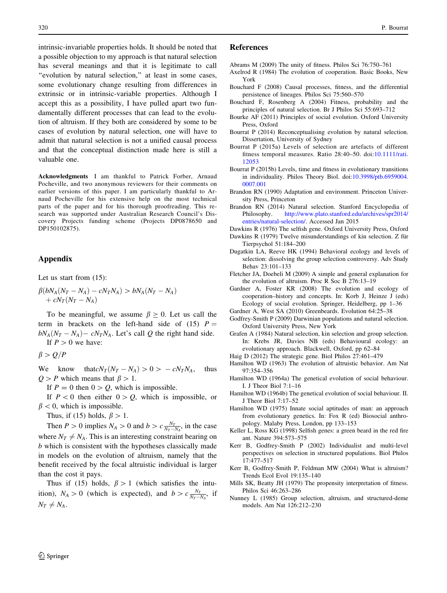<span id="page-9-0"></span>intrinsic-invariable properties holds. It should be noted that a possible objection to my approach is that natural selection has several meanings and that it is legitimate to call "evolution by natural selection," at least in some cases, some evolutionary change resulting from differences in extrinsic or in intrinsic-variable properties. Although I accept this as a possibility, I have pulled apart two fundamentally different processes that can lead to the evolution of altruism. If they both are considered by some to be cases of evolution by natural selection, one will have to admit that natural selection is not a unified causal process and that the conceptual distinction made here is still a valuable one.

Acknowledgments I am thankful to Patrick Forber, Arnaud Pocheville, and two anonymous reviewers for their comments on earlier versions of this paper. I am particularly thankful to Arnaud Pocheville for his extensive help on the most technical parts of the paper and for his thorough proofreading. This research was supported under Australian Research Council's Discovery Projects funding scheme (Projects DP0878650 and DP150102875).

## Appendix

Let us start from (15):

$$
\beta(bN_A(N_T - N_A) - cN_T N_A) > bN_A(N_T - N_A) + cN_T(N_T - N_A)
$$

To be meaningful, we assume  $\beta \ge 0$ . Let us call the term in brackets on the left-hand side of (15)  $P =$  $bN_A(N_T - N_A) - cN_TN_A$ . Let's call Q the right hand side.

If  $P > 0$  we have:

 $\beta > Q/P$ 

We know that  $cN_T(N_T - N_A) > 0 > -cN_TN_A$ , thus  $Q > P$  which means that  $\beta > 1$ .

If  $P = 0$  then  $0 > Q$ , which is impossible.

If  $P < 0$  then either  $0 > Q$ , which is impossible, or  $\beta$  < 0, which is impossible.

Thus, if (15) holds,  $\beta > 1$ .

Then  $P > 0$  implies  $N_A > 0$  and  $b > c \frac{N_T}{N_T - N_A}$ , in the case where  $N_T \neq N_A$ . This is an interesting constraint bearing on b which is consistent with the hypotheses classically made in models on the evolution of altruism, namely that the benefit received by the focal altruistic individual is larger than the cost it pays.

Thus if (15) holds,  $\beta > 1$  (which satisfies the intuition),  $N_A > 0$  (which is expected), and  $b > c \frac{N_T}{N_T - N_A}$ , if  $N_T \neq N_A$ .

#### References

- Axelrod R (1984) The evolution of cooperation. Basic Books, New York
- Bouchard F (2008) Causal processes, fitness, and the differential persistence of lineages. Philos Sci 75:560–570
- Bouchard F, Rosenberg A (2004) Fitness, probability and the principles of natural selection. Br J Philos Sci 55:693–712
- Bourke AF (2011) Principles of social evolution. Oxford University Press, Oxford
- Bourrat P (2014) Reconceptualising evolution by natural selection. Dissertation, University of Sydney
- Bourrat P (2015a) Levels of selection are artefacts of different fitness temporal measures. Ratio 28:40–50. doi:[10.1111/rati.](http://dx.doi.org/10.1111/rati.12053) [12053](http://dx.doi.org/10.1111/rati.12053)
- Bourrat P (2015b) Levels, time and fitness in evolutionary transitions in individuality. Philos Theory Biol. doi:[10.3998/ptb.6959004.](http://dx.doi.org/10.3998/ptb.6959004.0007.001) [0007.001](http://dx.doi.org/10.3998/ptb.6959004.0007.001)
- Brandon RN (1990) Adaptation and environment. Princeton University Press, Princeton
- Brandon RN (2014) Natural selection. Stanford Encyclopedia of Philosophy. [http://www.plato.stanford.edu/archives/spr2014/](http://www.plato.stanford.edu/archives/spr2014/entries/natural-selection/) [entries/natural-selection/](http://www.plato.stanford.edu/archives/spr2014/entries/natural-selection/). Accessed Jan 2015
- Dawkins R (1976) The selfish gene. Oxford University Press, Oxford Dawkins R (1979) Twelve misunderstandings of kin selection. Z für Tierpsychol 51:184–200
- Dugatkin LA, Reeve HK (1994) Behavioral ecology and levels of selection: dissolving the group selection controversy. Adv Study Behav 23:101–133
- Fletcher JA, Doebeli M (2009) A simple and general explanation for the evolution of altruism. Proc R Soc B 276:13–19
- Gardner A, Foster KR (2008) The evolution and ecology of cooperation–history and concepts. In: Korb J, Heinze J (eds) Ecology of social evolution. Springer, Heidelberg, pp 1–36
- Gardner A, West SA (2010) Greenbeards. Evolution 64:25–38
- Godfrey-Smith P (2009) Darwinian populations and natural selection. Oxford University Press, New York
- Grafen A (1984) Natural selection, kin selection and group selection. In: Krebs JR, Davies NB (eds) Behavioural ecology: an evolutionary approach. Blackwell, Oxford, pp 62–84
- Haig D (2012) The strategic gene. Biol Philos 27:461–479
- Hamilton WD (1963) The evolution of altruistic behavior. Am Nat 97:354–356
- Hamilton WD (1964a) The genetical evolution of social behaviour. I. J Theor Biol 7:1–16
- Hamilton WD (1964b) The genetical evolution of social behaviour. II. J Theor Biol 7:17–52
- Hamilton WD (1975) Innate social aptitudes of man: an approach from evolutionary genetics. In: Fox R (ed) Biosocial anthropology. Malaby Press, London, pp 133–153
- Keller L, Ross KG (1998) Selfish genes: a green beard in the red fire ant. Nature 394:573–575
- Kerr B, Godfrey-Smith P (2002) Individualist and multi-level perspectives on selection in structured populations. Biol Philos 17:477–517
- Kerr B, Godfrey-Smith P, Feldman MW (2004) What is altruism? Trends Ecol Evol 19:135–140
- Mills SK, Beatty JH (1979) The propensity interpretation of fitness. Philos Sci 46:263–286
- Nunney L (1985) Group selection, altruism, and structured-deme models. Am Nat 126:212–230

Abrams M (2009) The unity of fitness. Philos Sci 76:750–761